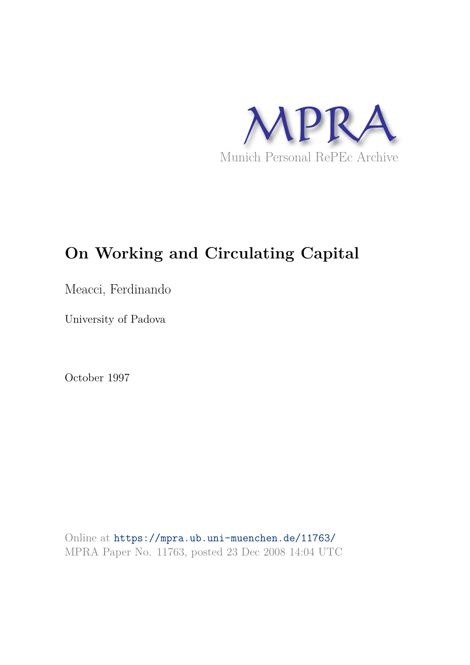

# **On Working and Circulating Capital**

Meacci, Ferdinando

University of Padova

October 1997

Online at https://mpra.ub.uni-muenchen.de/11763/ MPRA Paper No. 11763, posted 23 Dec 2008 14:04 UTC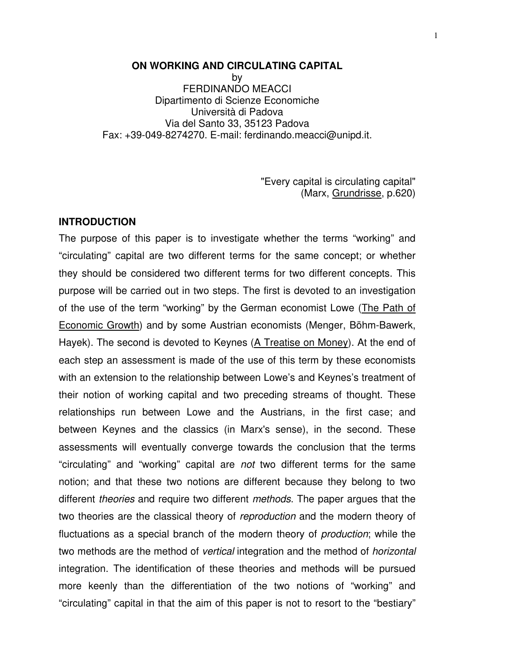#### **ON WORKING AND CIRCULATING CAPITAL**

by FERDINANDO MEACCI Dipartimento di Scienze Economiche Università di Padova Via del Santo 33, 35123 Padova Fax: +39-049-8274270. E-mail: ferdinando.meacci@unipd.it.

> "Every capital is circulating capital" (Marx, Grundrisse, p.620)

#### **INTRODUCTION**

The purpose of this paper is to investigate whether the terms "working" and "circulating" capital are two different terms for the same concept; or whether they should be considered two different terms for two different concepts. This purpose will be carried out in two steps. The first is devoted to an investigation of the use of the term "working" by the German economist Lowe (The Path of Economic Growth) and by some Austrian economists (Menger, Böhm-Bawerk, Hayek). The second is devoted to Keynes (A Treatise on Money). At the end of each step an assessment is made of the use of this term by these economists with an extension to the relationship between Lowe's and Keynes's treatment of their notion of working capital and two preceding streams of thought. These relationships run between Lowe and the Austrians, in the first case; and between Keynes and the classics (in Marx's sense), in the second. These assessments will eventually converge towards the conclusion that the terms "circulating" and "working" capital are not two different terms for the same notion; and that these two notions are different because they belong to two different theories and require two different methods. The paper argues that the two theories are the classical theory of reproduction and the modern theory of fluctuations as a special branch of the modern theory of *production*; while the two methods are the method of vertical integration and the method of horizontal integration. The identification of these theories and methods will be pursued more keenly than the differentiation of the two notions of "working" and "circulating" capital in that the aim of this paper is not to resort to the "bestiary"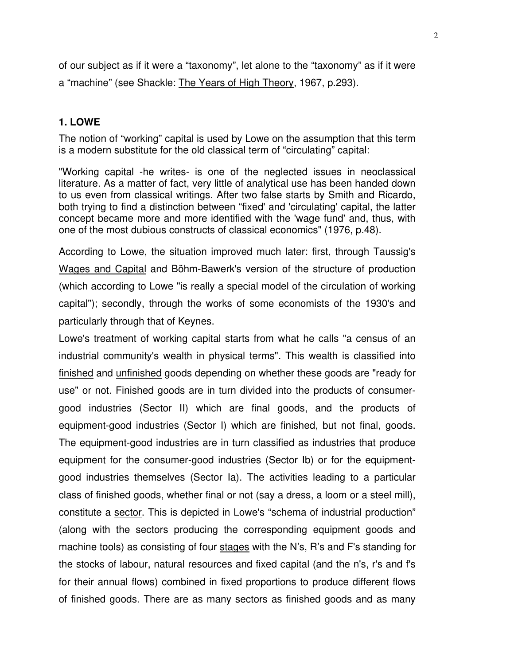of our subject as if it were a "taxonomy", let alone to the "taxonomy" as if it were a "machine" (see Shackle: The Years of High Theory, 1967, p.293).

# **1. LOWE**

The notion of "working" capital is used by Lowe on the assumption that this term is a modern substitute for the old classical term of "circulating" capital:

"Working capital -he writes- is one of the neglected issues in neoclassical literature. As a matter of fact, very little of analytical use has been handed down to us even from classical writings. After two false starts by Smith and Ricardo, both trying to find a distinction between "fixed' and 'circulating' capital, the latter concept became more and more identified with the 'wage fund' and, thus, with one of the most dubious constructs of classical economics" (1976, p.48).

According to Lowe, the situation improved much later: first, through Taussig's Wages and Capital and Böhm-Bawerk's version of the structure of production (which according to Lowe "is really a special model of the circulation of working capital"); secondly, through the works of some economists of the 1930's and particularly through that of Keynes.

Lowe's treatment of working capital starts from what he calls "a census of an industrial community's wealth in physical terms". This wealth is classified into finished and unfinished goods depending on whether these goods are "ready for use" or not. Finished goods are in turn divided into the products of consumergood industries (Sector II) which are final goods, and the products of equipment-good industries (Sector I) which are finished, but not final, goods. The equipment-good industries are in turn classified as industries that produce equipment for the consumer-good industries (Sector Ib) or for the equipmentgood industries themselves (Sector Ia). The activities leading to a particular class of finished goods, whether final or not (say a dress, a loom or a steel mill), constitute a sector. This is depicted in Lowe's "schema of industrial production" (along with the sectors producing the corresponding equipment goods and machine tools) as consisting of four stages with the N's, R's and F's standing for the stocks of labour, natural resources and fixed capital (and the n's, r's and f's for their annual flows) combined in fixed proportions to produce different flows of finished goods. There are as many sectors as finished goods and as many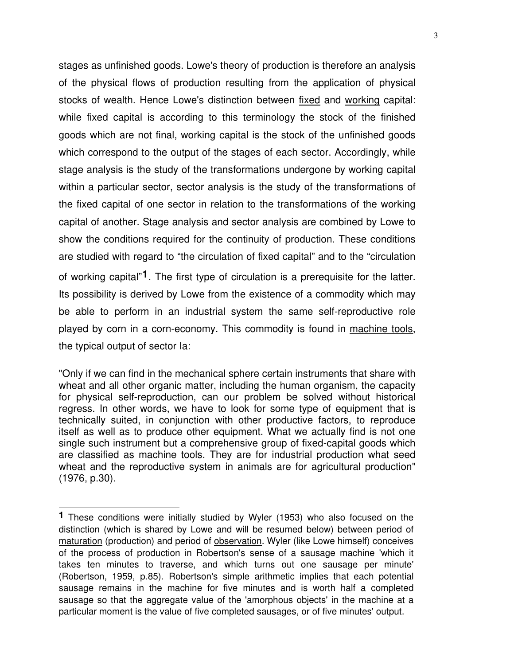stages as unfinished goods. Lowe's theory of production is therefore an analysis of the physical flows of production resulting from the application of physical stocks of wealth. Hence Lowe's distinction between fixed and working capital: while fixed capital is according to this terminology the stock of the finished goods which are not final, working capital is the stock of the unfinished goods which correspond to the output of the stages of each sector. Accordingly, while stage analysis is the study of the transformations undergone by working capital within a particular sector, sector analysis is the study of the transformations of the fixed capital of one sector in relation to the transformations of the working capital of another. Stage analysis and sector analysis are combined by Lowe to show the conditions required for the continuity of production. These conditions are studied with regard to "the circulation of fixed capital" and to the "circulation of working capital"**[1](#page-3-0)**. The first type of circulation is a prerequisite for the latter. Its possibility is derived by Lowe from the existence of a commodity which may be able to perform in an industrial system the same self-reproductive role played by corn in a corn-economy. This commodity is found in machine tools, the typical output of sector Ia:

"Only if we can find in the mechanical sphere certain instruments that share with wheat and all other organic matter, including the human organism, the capacity for physical self-reproduction, can our problem be solved without historical regress. In other words, we have to look for some type of equipment that is technically suited, in conjunction with other productive factors, to reproduce itself as well as to produce other equipment. What we actually find is not one single such instrument but a comprehensive group of fixed-capital goods which are classified as machine tools. They are for industrial production what seed wheat and the reproductive system in animals are for agricultural production" (1976, p.30).

<span id="page-3-0"></span>**<sup>1</sup>** These conditions were initially studied by Wyler (1953) who also focused on the distinction (which is shared by Lowe and will be resumed below) between period of maturation (production) and period of observation. Wyler (like Lowe himself) conceives of the process of production in Robertson's sense of a sausage machine 'which it takes ten minutes to traverse, and which turns out one sausage per minute' (Robertson, 1959, p.85). Robertson's simple arithmetic implies that each potential sausage remains in the machine for five minutes and is worth half a completed sausage so that the aggregate value of the 'amorphous objects' in the machine at a particular moment is the value of five completed sausages, or of five minutes' output.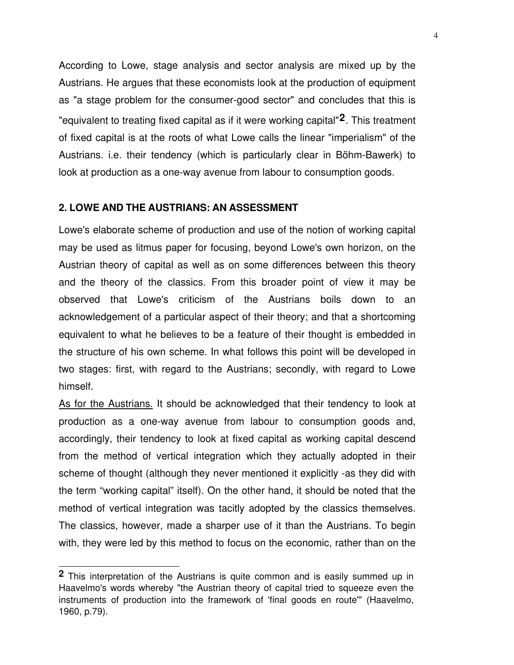According to Lowe, stage analysis and sector analysis are mixed up by the Austrians. He argues that these economists look at the production of equipment as "a stage problem for the consumer-good sector" and concludes that this is "equivalent to treating fixed capital as if it were working capital"**[2](#page-4-0)**. This treatment of fixed capital is at the roots of what Lowe calls the linear "imperialism" of the Austrians. i.e. their tendency (which is particularly clear in Böhm-Bawerk) to look at production as a one-way avenue from labour to consumption goods.

### **2. LOWE AND THE AUSTRIANS: AN ASSESSMENT**

Lowe's elaborate scheme of production and use of the notion of working capital may be used as litmus paper for focusing, beyond Lowe's own horizon, on the Austrian theory of capital as well as on some differences between this theory and the theory of the classics. From this broader point of view it may be observed that Lowe's criticism of the Austrians boils down to an acknowledgement of a particular aspect of their theory; and that a shortcoming equivalent to what he believes to be a feature of their thought is embedded in the structure of his own scheme. In what follows this point will be developed in two stages: first, with regard to the Austrians; secondly, with regard to Lowe himself.

As for the Austrians. It should be acknowledged that their tendency to look at production as a one-way avenue from labour to consumption goods and, accordingly, their tendency to look at fixed capital as working capital descend from the method of vertical integration which they actually adopted in their scheme of thought (although they never mentioned it explicitly -as they did with the term "working capital" itself). On the other hand, it should be noted that the method of vertical integration was tacitly adopted by the classics themselves. The classics, however, made a sharper use of it than the Austrians. To begin with, they were led by this method to focus on the economic, rather than on the

<span id="page-4-0"></span>**<sup>2</sup>** This interpretation of the Austrians is quite common and is easily summed up in Haavelmo's words whereby "the Austrian theory of capital tried to squeeze even the instruments of production into the framework of 'final goods en route'" (Haavelmo, 1960, p.79).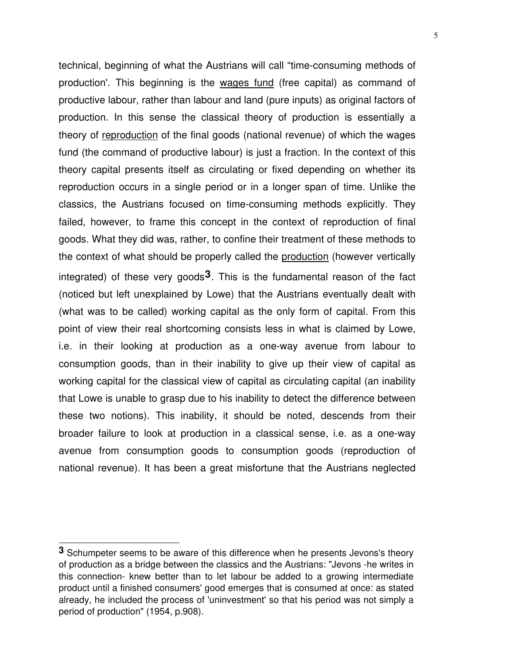technical, beginning of what the Austrians will call "time-consuming methods of production'. This beginning is the wages fund (free capital) as command of productive labour, rather than labour and land (pure inputs) as original factors of production. In this sense the classical theory of production is essentially a theory of reproduction of the final goods (national revenue) of which the wages fund (the command of productive labour) is just a fraction. In the context of this theory capital presents itself as circulating or fixed depending on whether its reproduction occurs in a single period or in a longer span of time. Unlike the classics, the Austrians focused on time-consuming methods explicitly. They failed, however, to frame this concept in the context of reproduction of final goods. What they did was, rather, to confine their treatment of these methods to the context of what should be properly called the production (however vertically integrated) of these very goods**[3](#page-5-0)**. This is the fundamental reason of the fact (noticed but left unexplained by Lowe) that the Austrians eventually dealt with (what was to be called) working capital as the only form of capital. From this point of view their real shortcoming consists less in what is claimed by Lowe, i.e. in their looking at production as a one-way avenue from labour to consumption goods, than in their inability to give up their view of capital as working capital for the classical view of capital as circulating capital (an inability that Lowe is unable to grasp due to his inability to detect the difference between these two notions). This inability, it should be noted, descends from their broader failure to look at production in a classical sense, i.e. as a one-way avenue from consumption goods to consumption goods (reproduction of national revenue). It has been a great misfortune that the Austrians neglected

<span id="page-5-0"></span>**<sup>3</sup>** Schumpeter seems to be aware of this difference when he presents Jevons's theory of production as a bridge between the classics and the Austrians: "Jevons -he writes in this connection- knew better than to let labour be added to a growing intermediate product until a finished consumers' good emerges that is consumed at once: as stated already, he included the process of 'uninvestment' so that his period was not simply a period of production" (1954, p.908).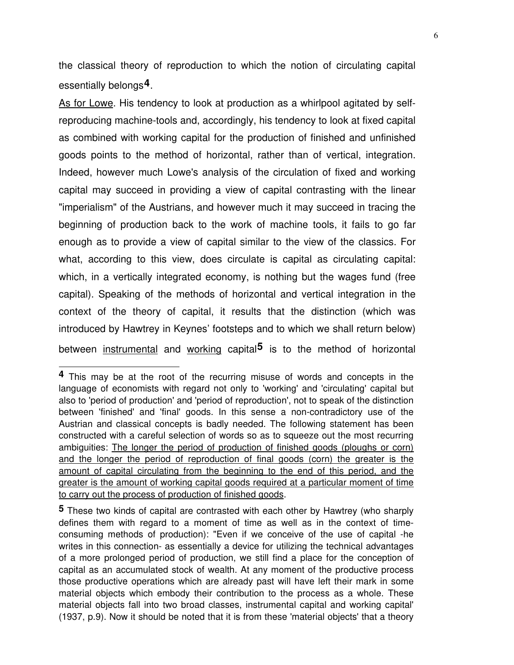the classical theory of reproduction to which the notion of circulating capital essentially belongs**[4](#page-6-0)**.

As for Lowe. His tendency to look at production as a whirlpool agitated by selfreproducing machine-tools and, accordingly, his tendency to look at fixed capital as combined with working capital for the production of finished and unfinished goods points to the method of horizontal, rather than of vertical, integration. Indeed, however much Lowe's analysis of the circulation of fixed and working capital may succeed in providing a view of capital contrasting with the linear "imperialism" of the Austrians, and however much it may succeed in tracing the beginning of production back to the work of machine tools, it fails to go far enough as to provide a view of capital similar to the view of the classics. For what, according to this view, does circulate is capital as circulating capital: which, in a vertically integrated economy, is nothing but the wages fund (free capital). Speaking of the methods of horizontal and vertical integration in the context of the theory of capital, it results that the distinction (which was introduced by Hawtrey in Keynes' footsteps and to which we shall return below) between instrumental and working capital**[5](#page-6-1)** is to the method of horizontal

<span id="page-6-0"></span>**<sup>4</sup>** This may be at the root of the recurring misuse of words and concepts in the language of economists with regard not only to 'working' and 'circulating' capital but also to 'period of production' and 'period of reproduction', not to speak of the distinction between 'finished' and 'final' goods. In this sense a non-contradictory use of the Austrian and classical concepts is badly needed. The following statement has been constructed with a careful selection of words so as to squeeze out the most recurring ambiguities: The longer the period of production of finished goods (ploughs or corn) and the longer the period of reproduction of final goods (corn) the greater is the amount of capital circulating from the beginning to the end of this period, and the greater is the amount of working capital goods required at a particular moment of time to carry out the process of production of finished goods.

<span id="page-6-1"></span>**<sup>5</sup>** These two kinds of capital are contrasted with each other by Hawtrey (who sharply defines them with regard to a moment of time as well as in the context of timeconsuming methods of production): "Even if we conceive of the use of capital -he writes in this connection- as essentially a device for utilizing the technical advantages of a more prolonged period of production, we still find a place for the conception of capital as an accumulated stock of wealth. At any moment of the productive process those productive operations which are already past will have left their mark in some material objects which embody their contribution to the process as a whole. These material objects fall into two broad classes, instrumental capital and working capital' (1937, p.9). Now it should be noted that it is from these 'material objects' that a theory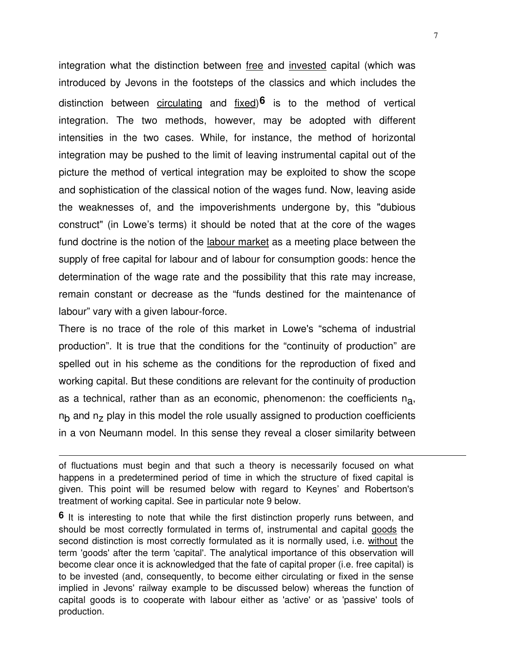integration what the distinction between free and invested capital (which was introduced by Jevons in the footsteps of the classics and which includes the distinction between circulating and fixed)**[6](#page-7-0)** is to the method of vertical integration. The two methods, however, may be adopted with different intensities in the two cases. While, for instance, the method of horizontal integration may be pushed to the limit of leaving instrumental capital out of the picture the method of vertical integration may be exploited to show the scope and sophistication of the classical notion of the wages fund. Now, leaving aside the weaknesses of, and the impoverishments undergone by, this "dubious construct" (in Lowe's terms) it should be noted that at the core of the wages fund doctrine is the notion of the labour market as a meeting place between the supply of free capital for labour and of labour for consumption goods: hence the determination of the wage rate and the possibility that this rate may increase, remain constant or decrease as the "funds destined for the maintenance of labour" vary with a given labour-force.

There is no trace of the role of this market in Lowe's "schema of industrial production". It is true that the conditions for the "continuity of production" are spelled out in his scheme as the conditions for the reproduction of fixed and working capital. But these conditions are relevant for the continuity of production as a technical, rather than as an economic, phenomenon: the coefficients  $n_A$ ,  $n_b$  and  $n_z$  play in this model the role usually assigned to production coefficients in a von Neumann model. In this sense they reveal a closer similarity between

of fluctuations must begin and that such a theory is necessarily focused on what happens in a predetermined period of time in which the structure of fixed capital is given. This point will be resumed below with regard to Keynes' and Robertson's treatment of working capital. See in particular note 9 below.

L

<span id="page-7-0"></span>**<sup>6</sup>** It is interesting to note that while the first distinction properly runs between, and should be most correctly formulated in terms of, instrumental and capital goods the second distinction is most correctly formulated as it is normally used, i.e. without the term 'goods' after the term 'capital'. The analytical importance of this observation will become clear once it is acknowledged that the fate of capital proper (i.e. free capital) is to be invested (and, consequently, to become either circulating or fixed in the sense implied in Jevons' railway example to be discussed below) whereas the function of capital goods is to cooperate with labour either as 'active' or as 'passive' tools of production.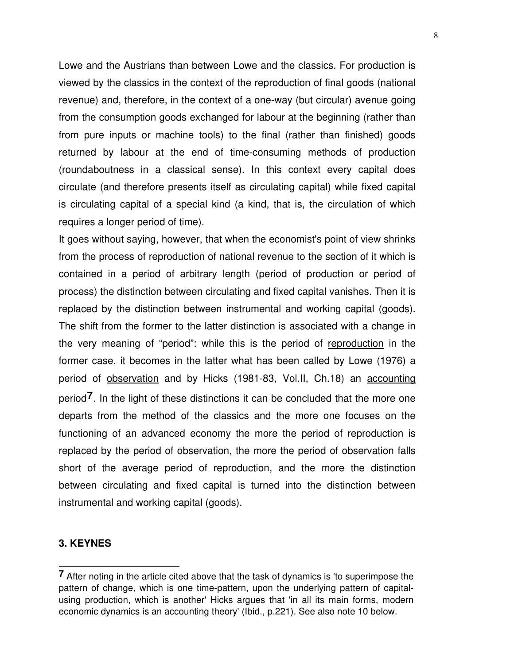Lowe and the Austrians than between Lowe and the classics. For production is viewed by the classics in the context of the reproduction of final goods (national revenue) and, therefore, in the context of a one-way (but circular) avenue going from the consumption goods exchanged for labour at the beginning (rather than from pure inputs or machine tools) to the final (rather than finished) goods returned by labour at the end of time-consuming methods of production (roundaboutness in a classical sense). In this context every capital does circulate (and therefore presents itself as circulating capital) while fixed capital is circulating capital of a special kind (a kind, that is, the circulation of which requires a longer period of time).

It goes without saying, however, that when the economist's point of view shrinks from the process of reproduction of national revenue to the section of it which is contained in a period of arbitrary length (period of production or period of process) the distinction between circulating and fixed capital vanishes. Then it is replaced by the distinction between instrumental and working capital (goods). The shift from the former to the latter distinction is associated with a change in the very meaning of "period": while this is the period of reproduction in the former case, it becomes in the latter what has been called by Lowe (1976) a period of observation and by Hicks (1981-83, Vol.II, Ch.18) an accounting period**[7](#page-8-0)**. In the light of these distinctions it can be concluded that the more one departs from the method of the classics and the more one focuses on the functioning of an advanced economy the more the period of reproduction is replaced by the period of observation, the more the period of observation falls short of the average period of reproduction, and the more the distinction between circulating and fixed capital is turned into the distinction between instrumental and working capital (goods).

### **3. KEYNES**

<span id="page-8-0"></span>**<sup>7</sup>** After noting in the article cited above that the task of dynamics is 'to superimpose the pattern of change, which is one time-pattern, upon the underlying pattern of capitalusing production, which is another' Hicks argues that 'in all its main forms, modern economic dynamics is an accounting theory' (Ibid., p.221). See also note 10 below.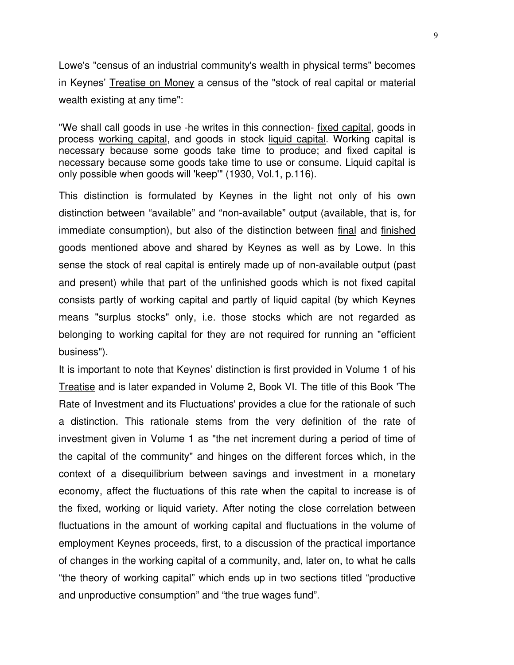Lowe's "census of an industrial community's wealth in physical terms" becomes in Keynes' Treatise on Money a census of the "stock of real capital or material wealth existing at any time":

"We shall call goods in use -he writes in this connection- fixed capital, goods in process working capital, and goods in stock liquid capital. Working capital is necessary because some goods take time to produce; and fixed capital is necessary because some goods take time to use or consume. Liquid capital is only possible when goods will 'keep'" (1930, Vol.1, p.116).

This distinction is formulated by Keynes in the light not only of his own distinction between "available" and "non-available" output (available, that is, for immediate consumption), but also of the distinction between final and finished goods mentioned above and shared by Keynes as well as by Lowe. In this sense the stock of real capital is entirely made up of non-available output (past and present) while that part of the unfinished goods which is not fixed capital consists partly of working capital and partly of liquid capital (by which Keynes means "surplus stocks" only, i.e. those stocks which are not regarded as belonging to working capital for they are not required for running an "efficient business").

It is important to note that Keynes' distinction is first provided in Volume 1 of his Treatise and is later expanded in Volume 2, Book VI. The title of this Book 'The Rate of Investment and its Fluctuations' provides a clue for the rationale of such a distinction. This rationale stems from the very definition of the rate of investment given in Volume 1 as "the net increment during a period of time of the capital of the community" and hinges on the different forces which, in the context of a disequilibrium between savings and investment in a monetary economy, affect the fluctuations of this rate when the capital to increase is of the fixed, working or liquid variety. After noting the close correlation between fluctuations in the amount of working capital and fluctuations in the volume of employment Keynes proceeds, first, to a discussion of the practical importance of changes in the working capital of a community, and, later on, to what he calls "the theory of working capital" which ends up in two sections titled "productive and unproductive consumption" and "the true wages fund".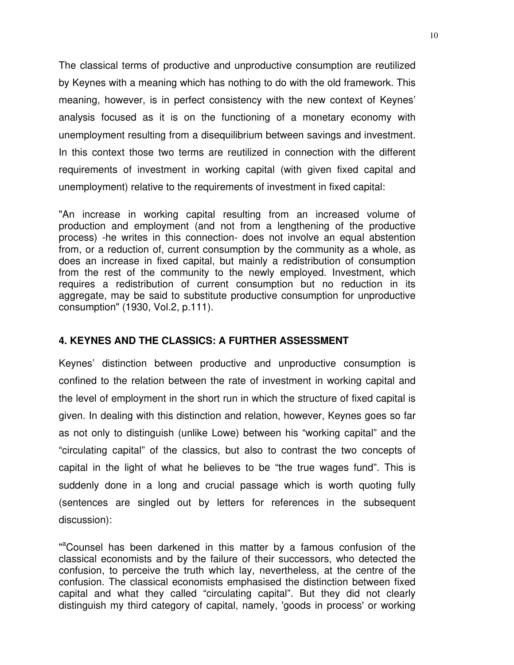The classical terms of productive and unproductive consumption are reutilized by Keynes with a meaning which has nothing to do with the old framework. This meaning, however, is in perfect consistency with the new context of Keynes' analysis focused as it is on the functioning of a monetary economy with unemployment resulting from a disequilibrium between savings and investment. In this context those two terms are reutilized in connection with the different requirements of investment in working capital (with given fixed capital and unemployment) relative to the requirements of investment in fixed capital:

"An increase in working capital resulting from an increased volume of production and employment (and not from a lengthening of the productive process) -he writes in this connection- does not involve an equal abstention from, or a reduction of, current consumption by the community as a whole, as does an increase in fixed capital, but mainly a redistribution of consumption from the rest of the community to the newly employed. Investment, which requires a redistribution of current consumption but no reduction in its aggregate, may be said to substitute productive consumption for unproductive consumption" (1930, Vol.2, p.111).

# **4. KEYNES AND THE CLASSICS: A FURTHER ASSESSMENT**

Keynes' distinction between productive and unproductive consumption is confined to the relation between the rate of investment in working capital and the level of employment in the short run in which the structure of fixed capital is given. In dealing with this distinction and relation, however, Keynes goes so far as not only to distinguish (unlike Lowe) between his "working capital" and the "circulating capital" of the classics, but also to contrast the two concepts of capital in the light of what he believes to be "the true wages fund". This is suddenly done in a long and crucial passage which is worth quoting fully (sentences are singled out by letters for references in the subsequent discussion):

"<sup>a</sup>Counsel has been darkened in this matter by a famous confusion of the classical economists and by the failure of their successors, who detected the confusion, to perceive the truth which lay, nevertheless, at the centre of the confusion. The classical economists emphasised the distinction between fixed capital and what they called "circulating capital". But they did not clearly distinguish my third category of capital, namely, 'goods in process' or working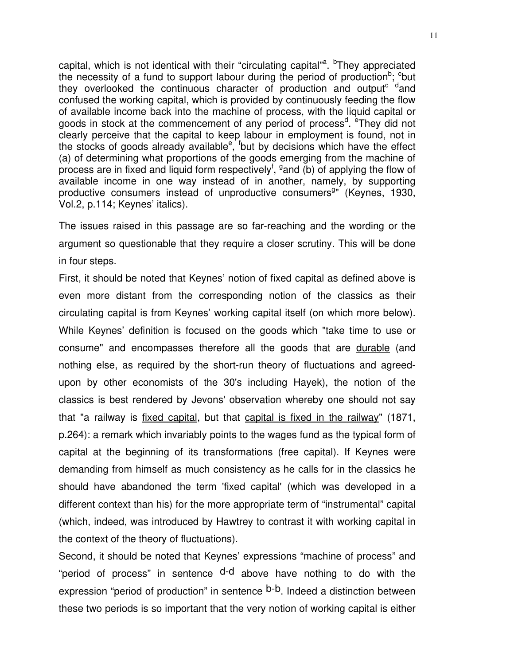capital, which is not identical with their "circulating capital"<sup>a b</sup>They appreciated the necessity of a fund to support labour during the period of production<sup>b</sup>; <sup>c</sup>but they overlooked the continuous character of production and output<sup>c d</sup>and confused the working capital, which is provided by continuously feeding the flow of available income back into the machine of process, with the liquid capital or goods in stock at the commencement of any period of process<sup>d. e</sup>They did not clearly perceive that the capital to keep labour in employment is found, not in the stocks of goods already available<sup>e</sup>, <sup>f</sup>but by decisions which have the effect (a) of determining what proportions of the goods emerging from the machine of process are in fixed and liquid form respectively<sup>f</sup>, <sup>g</sup>and (b) of applying the flow of available income in one way instead of in another, namely, by supporting productive consumers instead of unproductive consumers<sup>9</sup>" (Keynes, 1930, Vol.2, p.114; Keynes' italics).

The issues raised in this passage are so far-reaching and the wording or the argument so questionable that they require a closer scrutiny. This will be done in four steps.

First, it should be noted that Keynes' notion of fixed capital as defined above is even more distant from the corresponding notion of the classics as their circulating capital is from Keynes' working capital itself (on which more below). While Keynes' definition is focused on the goods which "take time to use or consume" and encompasses therefore all the goods that are durable (and nothing else, as required by the short-run theory of fluctuations and agreedupon by other economists of the 30's including Hayek), the notion of the classics is best rendered by Jevons' observation whereby one should not say that "a railway is fixed capital, but that capital is fixed in the railway" (1871, p.264): a remark which invariably points to the wages fund as the typical form of capital at the beginning of its transformations (free capital). If Keynes were demanding from himself as much consistency as he calls for in the classics he should have abandoned the term 'fixed capital' (which was developed in a different context than his) for the more appropriate term of "instrumental" capital (which, indeed, was introduced by Hawtrey to contrast it with working capital in the context of the theory of fluctuations).

Second, it should be noted that Keynes' expressions "machine of process" and "period of process" in sentence <sup>d-d</sup> above have nothing to do with the expression "period of production" in sentence <sup>b-b</sup>. Indeed a distinction between these two periods is so important that the very notion of working capital is either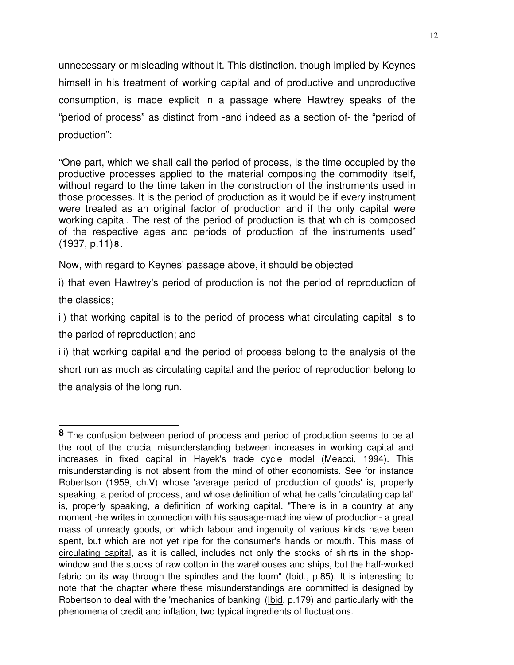unnecessary or misleading without it. This distinction, though implied by Keynes himself in his treatment of working capital and of productive and unproductive consumption, is made explicit in a passage where Hawtrey speaks of the "period of process" as distinct from -and indeed as a section of- the "period of production":

"One part, which we shall call the period of process, is the time occupied by the productive processes applied to the material composing the commodity itself, without regard to the time taken in the construction of the instruments used in those processes. It is the period of production as it would be if every instrument were treated as an original factor of production and if the only capital were working capital. The rest of the period of production is that which is composed of the respective ages and periods of production of the instruments used" (1937, p.11)**[8](#page-12-0)**.

Now, with regard to Keynes' passage above, it should be objected

.

i) that even Hawtrey's period of production is not the period of reproduction of the classics;

ii) that working capital is to the period of process what circulating capital is to the period of reproduction; and

iii) that working capital and the period of process belong to the analysis of the short run as much as circulating capital and the period of reproduction belong to the analysis of the long run.

<span id="page-12-0"></span>**<sup>8</sup>** The confusion between period of process and period of production seems to be at the root of the crucial misunderstanding between increases in working capital and increases in fixed capital in Hayek's trade cycle model (Meacci, 1994). This misunderstanding is not absent from the mind of other economists. See for instance Robertson (1959, ch.V) whose 'average period of production of goods' is, properly speaking, a period of process, and whose definition of what he calls 'circulating capital' is, properly speaking, a definition of working capital. "There is in a country at any moment -he writes in connection with his sausage-machine view of production- a great mass of unready goods, on which labour and ingenuity of various kinds have been spent, but which are not yet ripe for the consumer's hands or mouth. This mass of circulating capital, as it is called, includes not only the stocks of shirts in the shopwindow and the stocks of raw cotton in the warehouses and ships, but the half-worked fabric on its way through the spindles and the loom" (lbid., p.85). It is interesting to note that the chapter where these misunderstandings are committed is designed by Robertson to deal with the 'mechanics of banking' (Ibid. p.179) and particularly with the phenomena of credit and inflation, two typical ingredients of fluctuations.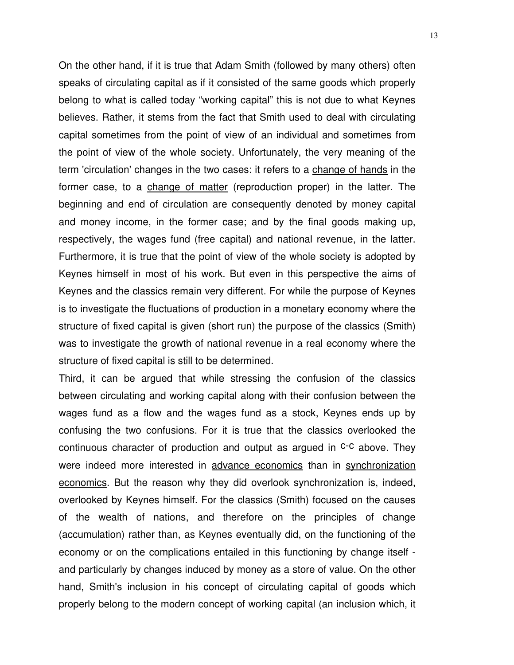On the other hand, if it is true that Adam Smith (followed by many others) often speaks of circulating capital as if it consisted of the same goods which properly belong to what is called today "working capital" this is not due to what Keynes believes. Rather, it stems from the fact that Smith used to deal with circulating capital sometimes from the point of view of an individual and sometimes from the point of view of the whole society. Unfortunately, the very meaning of the term 'circulation' changes in the two cases: it refers to a change of hands in the former case, to a change of matter (reproduction proper) in the latter. The beginning and end of circulation are consequently denoted by money capital and money income, in the former case; and by the final goods making up, respectively, the wages fund (free capital) and national revenue, in the latter. Furthermore, it is true that the point of view of the whole society is adopted by Keynes himself in most of his work. But even in this perspective the aims of Keynes and the classics remain very different. For while the purpose of Keynes is to investigate the fluctuations of production in a monetary economy where the structure of fixed capital is given (short run) the purpose of the classics (Smith) was to investigate the growth of national revenue in a real economy where the structure of fixed capital is still to be determined.

Third, it can be argued that while stressing the confusion of the classics between circulating and working capital along with their confusion between the wages fund as a flow and the wages fund as a stock, Keynes ends up by confusing the two confusions. For it is true that the classics overlooked the continuous character of production and output as argued in <sup>C-C</sup> above. They were indeed more interested in advance economics than in synchronization economics. But the reason why they did overlook synchronization is, indeed, overlooked by Keynes himself. For the classics (Smith) focused on the causes of the wealth of nations, and therefore on the principles of change (accumulation) rather than, as Keynes eventually did, on the functioning of the economy or on the complications entailed in this functioning by change itself and particularly by changes induced by money as a store of value. On the other hand, Smith's inclusion in his concept of circulating capital of goods which properly belong to the modern concept of working capital (an inclusion which, it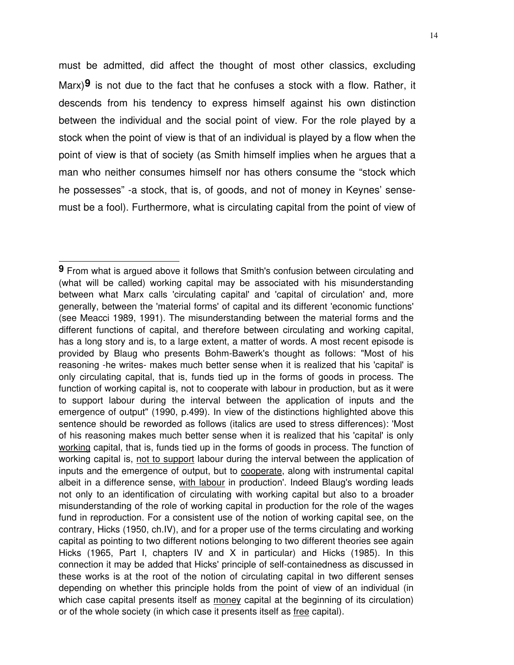must be admitted, did affect the thought of most other classics, excluding Marx)**[9](#page-14-0)** is not due to the fact that he confuses a stock with a flow. Rather, it descends from his tendency to express himself against his own distinction between the individual and the social point of view. For the role played by a stock when the point of view is that of an individual is played by a flow when the point of view is that of society (as Smith himself implies when he argues that a man who neither consumes himself nor has others consume the "stock which he possesses" -a stock, that is, of goods, and not of money in Keynes' sensemust be a fool). Furthermore, what is circulating capital from the point of view of

L

<span id="page-14-0"></span>**<sup>9</sup>** From what is argued above it follows that Smith's confusion between circulating and (what will be called) working capital may be associated with his misunderstanding between what Marx calls 'circulating capital' and 'capital of circulation' and, more generally, between the 'material forms' of capital and its different 'economic functions' (see Meacci 1989, 1991). The misunderstanding between the material forms and the different functions of capital, and therefore between circulating and working capital, has a long story and is, to a large extent, a matter of words. A most recent episode is provided by Blaug who presents Bohm-Bawerk's thought as follows: "Most of his reasoning -he writes- makes much better sense when it is realized that his 'capital' is only circulating capital, that is, funds tied up in the forms of goods in process. The function of working capital is, not to cooperate with labour in production, but as it were to support labour during the interval between the application of inputs and the emergence of output" (1990, p.499). In view of the distinctions highlighted above this sentence should be reworded as follows (italics are used to stress differences): 'Most of his reasoning makes much better sense when it is realized that his 'capital' is only working capital, that is, funds tied up in the forms of goods in process. The function of working capital is, not to support labour during the interval between the application of inputs and the emergence of output, but to cooperate, along with instrumental capital albeit in a difference sense, with labour in production'. Indeed Blaug's wording leads not only to an identification of circulating with working capital but also to a broader misunderstanding of the role of working capital in production for the role of the wages fund in reproduction. For a consistent use of the notion of working capital see, on the contrary, Hicks (1950, ch.IV), and for a proper use of the terms circulating and working capital as pointing to two different notions belonging to two different theories see again Hicks (1965, Part I, chapters IV and X in particular) and Hicks (1985). In this connection it may be added that Hicks' principle of self-containedness as discussed in these works is at the root of the notion of circulating capital in two different senses depending on whether this principle holds from the point of view of an individual (in which case capital presents itself as money capital at the beginning of its circulation) or of the whole society (in which case it presents itself as free capital).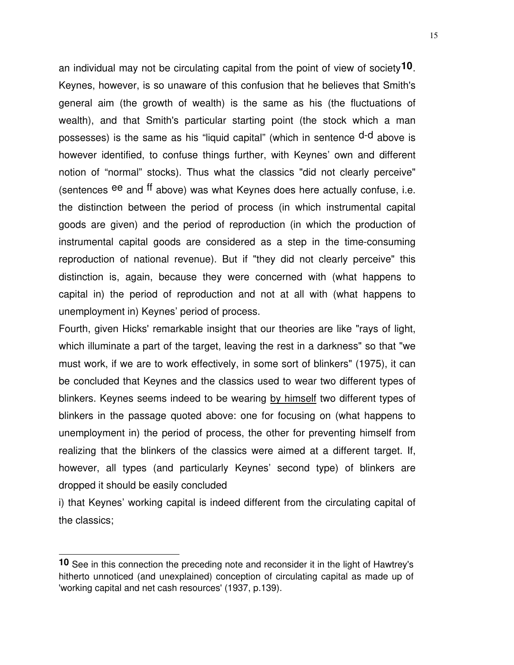an individual may not be circulating capital from the point of view of society**[10](#page-15-0)**. Keynes, however, is so unaware of this confusion that he believes that Smith's general aim (the growth of wealth) is the same as his (the fluctuations of wealth), and that Smith's particular starting point (the stock which a man possesses) is the same as his "liquid capital" (which in sentence d-d above is however identified, to confuse things further, with Keynes' own and different notion of "normal" stocks). Thus what the classics "did not clearly perceive" (sentences ee and ff above) was what Keynes does here actually confuse, i.e. the distinction between the period of process (in which instrumental capital goods are given) and the period of reproduction (in which the production of instrumental capital goods are considered as a step in the time-consuming reproduction of national revenue). But if "they did not clearly perceive" this distinction is, again, because they were concerned with (what happens to capital in) the period of reproduction and not at all with (what happens to unemployment in) Keynes' period of process.

Fourth, given Hicks' remarkable insight that our theories are like "rays of light, which illuminate a part of the target, leaving the rest in a darkness" so that "we must work, if we are to work effectively, in some sort of blinkers" (1975), it can be concluded that Keynes and the classics used to wear two different types of blinkers. Keynes seems indeed to be wearing by himself two different types of blinkers in the passage quoted above: one for focusing on (what happens to unemployment in) the period of process, the other for preventing himself from realizing that the blinkers of the classics were aimed at a different target. If, however, all types (and particularly Keynes' second type) of blinkers are dropped it should be easily concluded

i) that Keynes' working capital is indeed different from the circulating capital of the classics;

L

<span id="page-15-0"></span>**<sup>10</sup>** See in this connection the preceding note and reconsider it in the light of Hawtrey's hitherto unnoticed (and unexplained) conception of circulating capital as made up of 'working capital and net cash resources' (1937, p.139).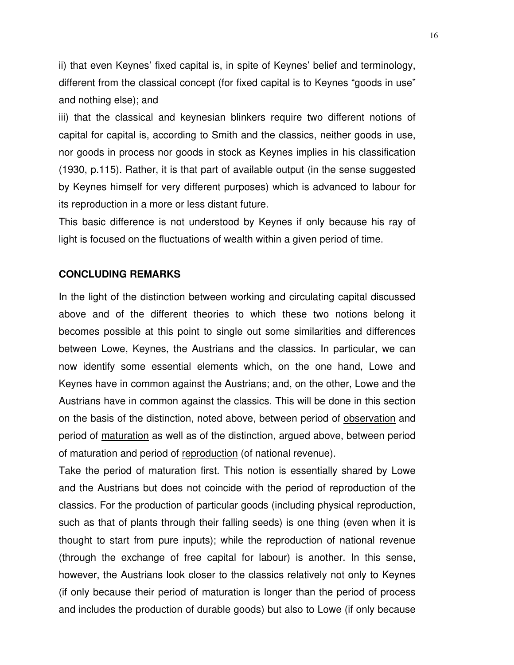ii) that even Keynes' fixed capital is, in spite of Keynes' belief and terminology, different from the classical concept (for fixed capital is to Keynes "goods in use" and nothing else); and

iii) that the classical and keynesian blinkers require two different notions of capital for capital is, according to Smith and the classics, neither goods in use, nor goods in process nor goods in stock as Keynes implies in his classification (1930, p.115). Rather, it is that part of available output (in the sense suggested by Keynes himself for very different purposes) which is advanced to labour for its reproduction in a more or less distant future.

This basic difference is not understood by Keynes if only because his ray of light is focused on the fluctuations of wealth within a given period of time.

### **CONCLUDING REMARKS**

In the light of the distinction between working and circulating capital discussed above and of the different theories to which these two notions belong it becomes possible at this point to single out some similarities and differences between Lowe, Keynes, the Austrians and the classics. In particular, we can now identify some essential elements which, on the one hand, Lowe and Keynes have in common against the Austrians; and, on the other, Lowe and the Austrians have in common against the classics. This will be done in this section on the basis of the distinction, noted above, between period of observation and period of maturation as well as of the distinction, argued above, between period of maturation and period of reproduction (of national revenue).

Take the period of maturation first. This notion is essentially shared by Lowe and the Austrians but does not coincide with the period of reproduction of the classics. For the production of particular goods (including physical reproduction, such as that of plants through their falling seeds) is one thing (even when it is thought to start from pure inputs); while the reproduction of national revenue (through the exchange of free capital for labour) is another. In this sense, however, the Austrians look closer to the classics relatively not only to Keynes (if only because their period of maturation is longer than the period of process and includes the production of durable goods) but also to Lowe (if only because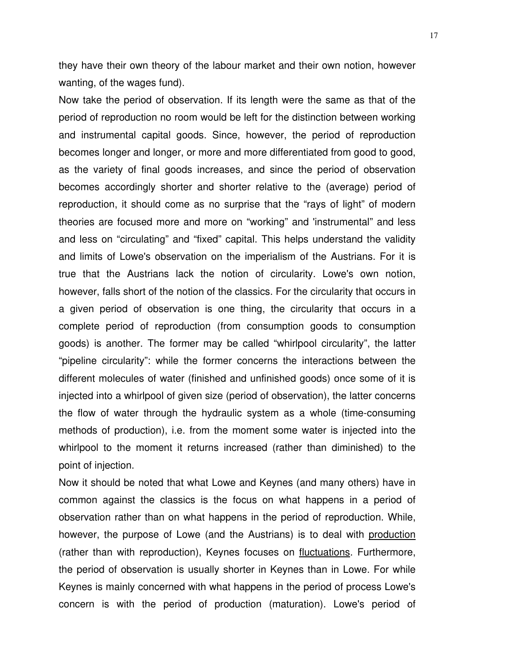they have their own theory of the labour market and their own notion, however wanting, of the wages fund).

Now take the period of observation. If its length were the same as that of the period of reproduction no room would be left for the distinction between working and instrumental capital goods. Since, however, the period of reproduction becomes longer and longer, or more and more differentiated from good to good, as the variety of final goods increases, and since the period of observation becomes accordingly shorter and shorter relative to the (average) period of reproduction, it should come as no surprise that the "rays of light" of modern theories are focused more and more on "working" and 'instrumental" and less and less on "circulating" and "fixed" capital. This helps understand the validity and limits of Lowe's observation on the imperialism of the Austrians. For it is true that the Austrians lack the notion of circularity. Lowe's own notion, however, falls short of the notion of the classics. For the circularity that occurs in a given period of observation is one thing, the circularity that occurs in a complete period of reproduction (from consumption goods to consumption goods) is another. The former may be called "whirlpool circularity", the latter "pipeline circularity": while the former concerns the interactions between the different molecules of water (finished and unfinished goods) once some of it is injected into a whirlpool of given size (period of observation), the latter concerns the flow of water through the hydraulic system as a whole (time-consuming methods of production), i.e. from the moment some water is injected into the whirlpool to the moment it returns increased (rather than diminished) to the point of injection.

Now it should be noted that what Lowe and Keynes (and many others) have in common against the classics is the focus on what happens in a period of observation rather than on what happens in the period of reproduction. While, however, the purpose of Lowe (and the Austrians) is to deal with production (rather than with reproduction), Keynes focuses on fluctuations. Furthermore, the period of observation is usually shorter in Keynes than in Lowe. For while Keynes is mainly concerned with what happens in the period of process Lowe's concern is with the period of production (maturation). Lowe's period of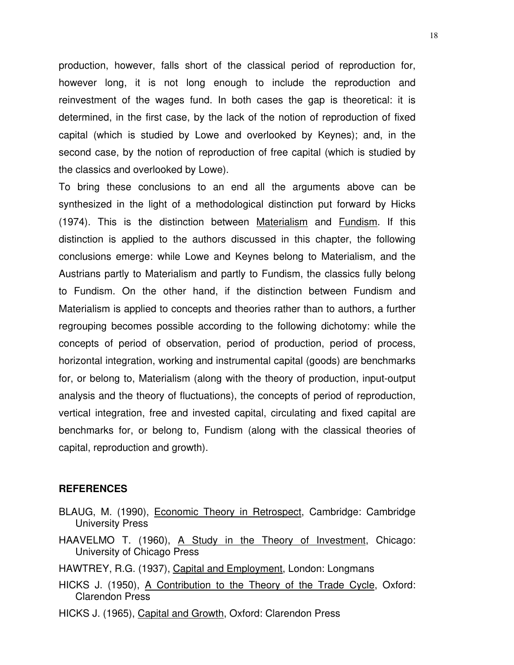production, however, falls short of the classical period of reproduction for, however long, it is not long enough to include the reproduction and reinvestment of the wages fund. In both cases the gap is theoretical: it is determined, in the first case, by the lack of the notion of reproduction of fixed capital (which is studied by Lowe and overlooked by Keynes); and, in the second case, by the notion of reproduction of free capital (which is studied by the classics and overlooked by Lowe).

To bring these conclusions to an end all the arguments above can be synthesized in the light of a methodological distinction put forward by Hicks (1974). This is the distinction between Materialism and Fundism. If this distinction is applied to the authors discussed in this chapter, the following conclusions emerge: while Lowe and Keynes belong to Materialism, and the Austrians partly to Materialism and partly to Fundism, the classics fully belong to Fundism. On the other hand, if the distinction between Fundism and Materialism is applied to concepts and theories rather than to authors, a further regrouping becomes possible according to the following dichotomy: while the concepts of period of observation, period of production, period of process, horizontal integration, working and instrumental capital (goods) are benchmarks for, or belong to, Materialism (along with the theory of production, input-output analysis and the theory of fluctuations), the concepts of period of reproduction, vertical integration, free and invested capital, circulating and fixed capital are benchmarks for, or belong to, Fundism (along with the classical theories of capital, reproduction and growth).

#### **REFERENCES**

- BLAUG, M. (1990), Economic Theory in Retrospect, Cambridge: Cambridge University Press
- HAAVELMO T. (1960), A Study in the Theory of Investment, Chicago: University of Chicago Press
- HAWTREY, R.G. (1937), Capital and Employment, London: Longmans
- HICKS J. (1950), A Contribution to the Theory of the Trade Cycle, Oxford: Clarendon Press
- HICKS J. (1965), Capital and Growth, Oxford: Clarendon Press